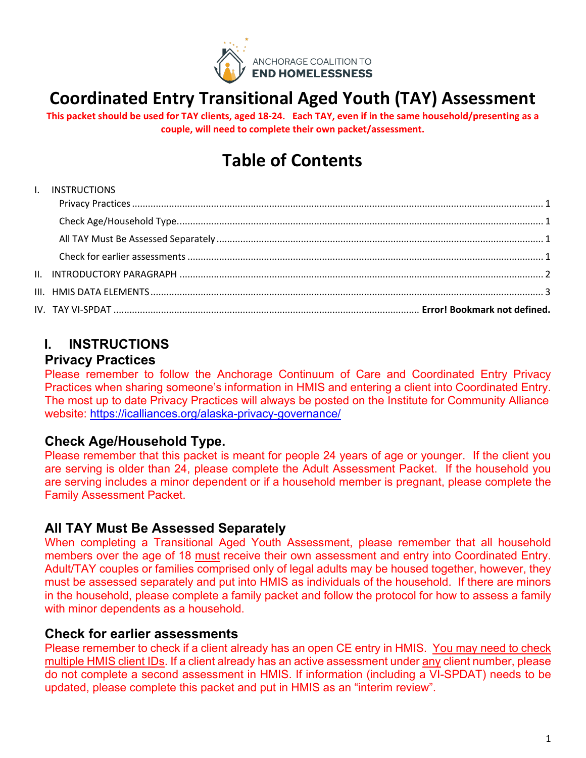

# **Coordinated Entry Transitional Aged Youth (TAY) Assessment**

**This packet should be used for TAY clients, aged 18-24. Each TAY, even if in the same household/presenting as a couple, will need to complete their own packet/assessment.** 

# **Table of Contents**

## [I. INSTRUCTIONS](#page-0-0) [Privacy Practices............................................................................................................................................................](#page-0-1) 1 [Check Age/Household Type...........................................................................................................................................](#page-0-2) 1 All TAY Must Be Assessed Separately [............................................................................................................................](#page-0-3) 1 [Check for earlier assessments.......................................................................................................................................](#page-0-4) 1 II. INTRODUCTORY PARAGRAPH [..........................................................................................................................................](#page-1-0) 2 [III. HMIS DATA ELEMENTS.....................................................................................................................................................](#page-1-1) 3 IV. TAY VI-SPDAT .................................................................................................................... **Error! Bookmark not defined.**

# <span id="page-0-0"></span>**I. INSTRUCTIONS**

### <span id="page-0-1"></span>**Privacy Practices**

Please remember to follow the Anchorage Continuum of Care and Coordinated Entry Privacy Practices when sharing someone's information in HMIS and entering a client into Coordinated Entry. The most up to date Privacy Practices will always be posted on the Institute for Community Alliance website:<https://icalliances.org/alaska-privacy-governance/>

### <span id="page-0-2"></span>**Check Age/Household Type.**

Please remember that this packet is meant for people 24 years of age or younger. If the client you are serving is older than 24, please complete the Adult Assessment Packet. If the household you are serving includes a minor dependent or if a household member is pregnant, please complete the Family Assessment Packet.

### <span id="page-0-3"></span>**All TAY Must Be Assessed Separately**

When completing a Transitional Aged Youth Assessment, please remember that all household members over the age of 18 must receive their own assessment and entry into Coordinated Entry. Adult/TAY couples or families comprised only of legal adults may be housed together, however, they must be assessed separately and put into HMIS as individuals of the household. If there are minors in the household, please complete a family packet and follow the protocol for how to assess a family with minor dependents as a household.

### <span id="page-0-4"></span>**Check for earlier assessments**

Please remember to check if a client already has an open CE entry in HMIS. You may need to check multiple HMIS client IDs. If a client already has an active assessment under any client number, please do not complete a second assessment in HMIS. If information (including a VI-SPDAT) needs to be updated, please complete this packet and put in HMIS as an "interim review".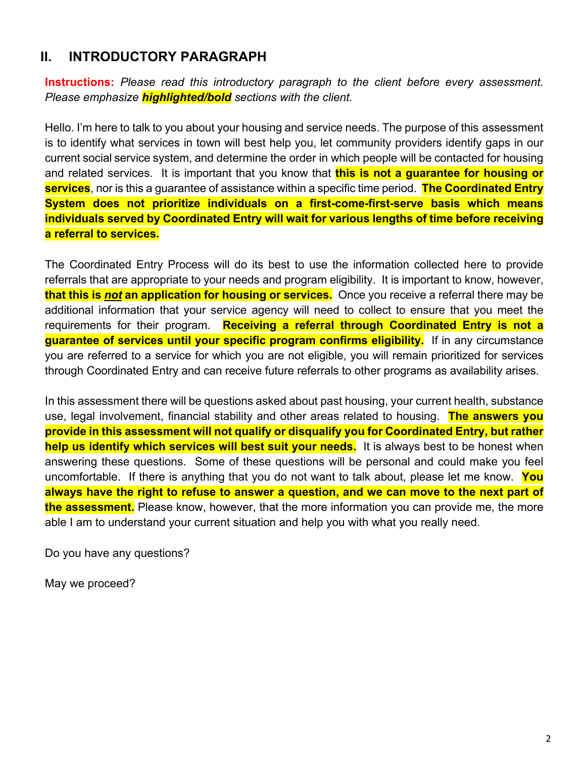### <span id="page-1-0"></span>**II. INTRODUCTORY PARAGRAPH**

**Instructions:** *Please read this introductory paragraph to the client before every assessment. Please emphasize highlighted/bold sections with the client.*

Hello. I'm here to talk to you about your housing and service needs. The purpose of this assessment is to identify what services in town will best help you, let community providers identify gaps in our current social service system, and determine the order in which people will be contacted for housing and related services. It is important that you know that **this is not a guarantee for housing or services**, nor is this a guarantee of assistance within a specific time period. **The Coordinated Entry System does not prioritize individuals on a first-come-first-serve basis which means individuals served by Coordinated Entry will wait for various lengths of time before receiving a referral to services.**

The Coordinated Entry Process will do its best to use the information collected here to provide referrals that are appropriate to your needs and program eligibility. It is important to know, however, **that this is** *not* **an application for housing or services.** Once you receive a referral there may be additional information that your service agency will need to collect to ensure that you meet the requirements for their program. **Receiving a referral through Coordinated Entry is not a guarantee of services until your specific program confirms eligibility.** If in any circumstance you are referred to a service for which you are not eligible, you will remain prioritized for services through Coordinated Entry and can receive future referrals to other programs as availability arises.

In this assessment there will be questions asked about past housing, your current health, substance use, legal involvement, financial stability and other areas related to housing. **The answers you provide in this assessment will not qualify or disqualify you for Coordinated Entry, but rather help us identify which services will best suit your needs.** It is always best to be honest when answering these questions. Some of these questions will be personal and could make you feel uncomfortable. If there is anything that you do not want to talk about, please let me know. **You always have the right to refuse to answer a question, and we can move to the next part of the assessment.** Please know, however, that the more information you can provide me, the more able I am to understand your current situation and help you with what you really need.

Do you have any questions?

<span id="page-1-1"></span>May we proceed?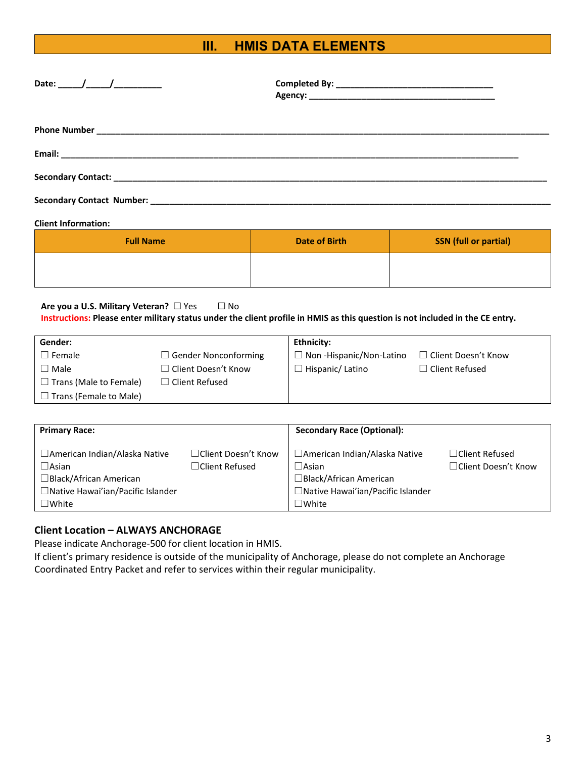## **III. HMIS DATA ELEMENTS**

| Date: _______/_______/_____________ |  |
|-------------------------------------|--|
|                                     |  |
|                                     |  |
|                                     |  |
|                                     |  |
|                                     |  |
|                                     |  |

#### **Client Information:**

| <b>Full Name</b> | Date of Birth | <b>SSN</b> (full or partial) |
|------------------|---------------|------------------------------|
|                  |               |                              |

#### **Are you a U.S. Military Veteran?** □ Yes □ No **Instructions: Please enter military status under the client profile in HMIS as this question is not included in the CE entry.**

| Gender:                       |                             | Ethnicity:                     |                            |
|-------------------------------|-----------------------------|--------------------------------|----------------------------|
| $\Box$ Female                 | $\Box$ Gender Nonconforming | $\Box$ Non-Hispanic/Non-Latino | $\Box$ Client Doesn't Know |
| $\square$ Male                | □ Client Doesn't Know       | $\exists$ Hispanic/ Latino     | $\Box$ Client Refused      |
| $\Box$ Trans (Male to Female) | $\Box$ Client Refused       |                                |                            |
| $\Box$ Trans (Female to Male) |                             |                                |                            |

| <b>Primary Race:</b>                                                                                                                       |                                               | <b>Secondary Race (Optional):</b>                                                                                                             |                                               |
|--------------------------------------------------------------------------------------------------------------------------------------------|-----------------------------------------------|-----------------------------------------------------------------------------------------------------------------------------------------------|-----------------------------------------------|
| □ American Indian/Alaska Native<br>$\Box$ Asian<br>$\Box$ Black/African American<br>□ Native Hawai'ian/Pacific Islander<br>$\square$ White | □Client Doesn't Know<br>$\Box$ Client Refused | □ American Indian/Alaska Native<br>$\square$ Asian<br>$\Box$ Black/African American<br>□ Native Hawai'ian/Pacific Islander<br>$\square$ White | $\Box$ Client Refused<br>□Client Doesn't Know |

#### **Client Location – ALWAYS ANCHORAGE**

Please indicate Anchorage-500 for client location in HMIS.

If client's primary residence is outside of the municipality of Anchorage, please do not complete an Anchorage Coordinated Entry Packet and refer to services within their regular municipality.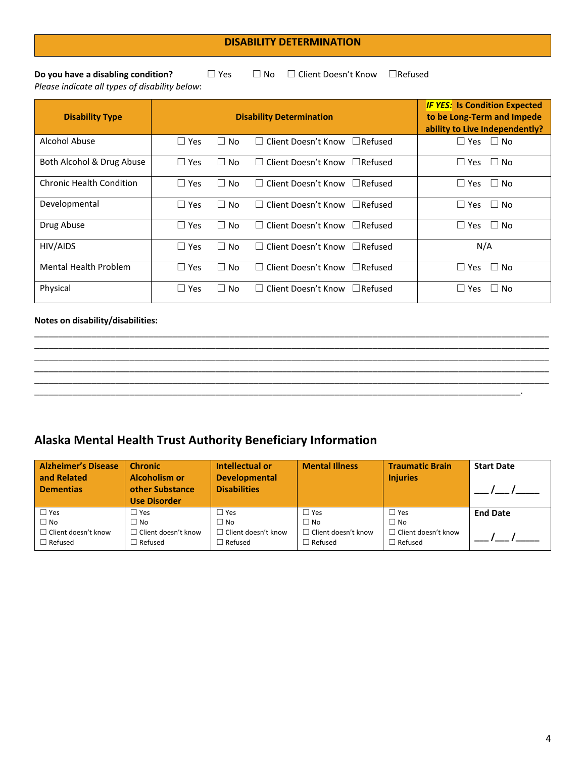#### **DISABILITY DETERMINATION**

**Do you have a disabling condition?** □ Yes □ No □ Client Doesn't Know □Refused

*Please indicate all types of disability below*: **Disability Type Disability Determination** *IF YES:* **Is Condition Expected to be Long-Term and Impede ability to Live Independently?** Alcohol Abuse ☐ Yes ☐ No ☐ Client Doesn't Know ☐Refused ☐ Yes ☐ No Both Alcohol & Drug Abuse ☐ Yes ☐ No ☐ Client Doesn't Know ☐Refused ☐ Yes ☐ No Chronic Health Condition │ □ Yes □ No □ Client Doesn't Know □Refused │ □ Yes □ No Developmental │ <del></del> □ Yes □ No □ Client Doesn't Know □Refused │ □ Yes □ No Drug Abuse │ □ Yes □ No □ Client Doesn't Know □Refused │ □ Yes □ No HIV/AIDS ☐ Yes ☐ No ☐ Client Doesn't Know ☐Refused N/A

#### **Notes on disability/disabilities:**

### **Alaska Mental Health Trust Authority Beneficiary Information**

| <b>Alzheimer's Disease</b><br>and Related<br><b>Dementias</b> | <b>Chronic</b><br><b>Alcoholism or</b><br>other Substance<br><b>Use Disorder</b> | Intellectual or<br><b>Developmental</b><br><b>Disabilities</b> | <b>Mental Illness</b>      | <b>Traumatic Brain</b><br><b>Injuries</b> | <b>Start Date</b> |
|---------------------------------------------------------------|----------------------------------------------------------------------------------|----------------------------------------------------------------|----------------------------|-------------------------------------------|-------------------|
| $\Box$ Yes                                                    | ⊤∃ Yes                                                                           | $\sqcap$ Yes                                                   | $\Box$ Yes                 | ⊥∃ Yes                                    | <b>End Date</b>   |
| $\Box$ No                                                     | $\Box$ No                                                                        | □ No                                                           | $\Box$ No                  | $\square$ No                              |                   |
| $\Box$ Client doesn't know                                    | $\Box$ Client doesn't know                                                       | $\sqsupset$ Client doesn't know                                | $\Box$ Client doesn't know | $\sqsupset$ Client doesn't know           |                   |
| $\Box$ Refused                                                | $\Box$ Refused                                                                   | $\sqsupset$ Refused                                            | $\Box$ Refused             | $\exists$ Refused                         |                   |

\_\_\_\_\_\_\_\_\_\_\_\_\_\_\_\_\_\_\_\_\_\_\_\_\_\_\_\_\_\_\_\_\_\_\_\_\_\_\_\_\_\_\_\_\_\_\_\_\_\_\_\_\_\_\_\_\_\_\_\_\_\_\_\_\_\_\_\_\_\_\_\_\_\_\_\_\_\_\_\_\_\_\_\_\_\_\_\_\_\_\_\_\_\_\_\_\_\_\_\_\_\_\_\_\_\_\_\_ \_\_\_\_\_\_\_\_\_\_\_\_\_\_\_\_\_\_\_\_\_\_\_\_\_\_\_\_\_\_\_\_\_\_\_\_\_\_\_\_\_\_\_\_\_\_\_\_\_\_\_\_\_\_\_\_\_\_\_\_\_\_\_\_\_\_\_\_\_\_\_\_\_\_\_\_\_\_\_\_\_\_\_\_\_\_\_\_\_\_\_\_\_\_\_\_\_\_\_\_\_\_\_\_\_\_\_\_ \_\_\_\_\_\_\_\_\_\_\_\_\_\_\_\_\_\_\_\_\_\_\_\_\_\_\_\_\_\_\_\_\_\_\_\_\_\_\_\_\_\_\_\_\_\_\_\_\_\_\_\_\_\_\_\_\_\_\_\_\_\_\_\_\_\_\_\_\_\_\_\_\_\_\_\_\_\_\_\_\_\_\_\_\_\_\_\_\_\_\_\_\_\_\_\_\_\_\_\_\_\_\_\_\_\_\_\_ \_\_\_\_\_\_\_\_\_\_\_\_\_\_\_\_\_\_\_\_\_\_\_\_\_\_\_\_\_\_\_\_\_\_\_\_\_\_\_\_\_\_\_\_\_\_\_\_\_\_\_\_\_\_\_\_\_\_\_\_\_\_\_\_\_\_\_\_\_\_\_\_\_\_\_\_\_\_\_\_\_\_\_\_\_\_\_\_\_\_\_\_\_\_\_\_\_\_\_\_\_\_\_\_\_\_\_\_ \_\_\_\_\_\_\_\_\_\_\_\_\_\_\_\_\_\_\_\_\_\_\_\_\_\_\_\_\_\_\_\_\_\_\_\_\_\_\_\_\_\_\_\_\_\_\_\_\_\_\_\_\_\_\_\_\_\_\_\_\_\_\_\_\_\_\_\_\_\_\_\_\_\_\_\_\_\_\_\_\_\_\_\_\_\_\_\_\_\_\_\_\_\_\_\_\_\_\_\_\_\_\_\_\_\_\_\_ \_\_\_\_\_\_\_\_\_\_\_\_\_\_\_\_\_\_\_\_\_\_\_\_\_\_\_\_\_\_\_\_\_\_\_\_\_\_\_\_\_\_\_\_\_\_\_\_\_\_\_\_\_\_\_\_\_\_\_\_\_\_\_\_\_\_\_\_\_\_\_\_\_\_\_\_\_\_\_\_\_\_\_\_\_\_\_\_\_\_\_\_\_\_\_\_\_\_\_\_\_\_.

Mental Health Problem │ □ Yes □ No □ Client Doesn't Know □ Refused │ □ Yes □ No

Physical □ □ Yes □ No □ Client Doesn't Know □ Refused │ □ Yes □ No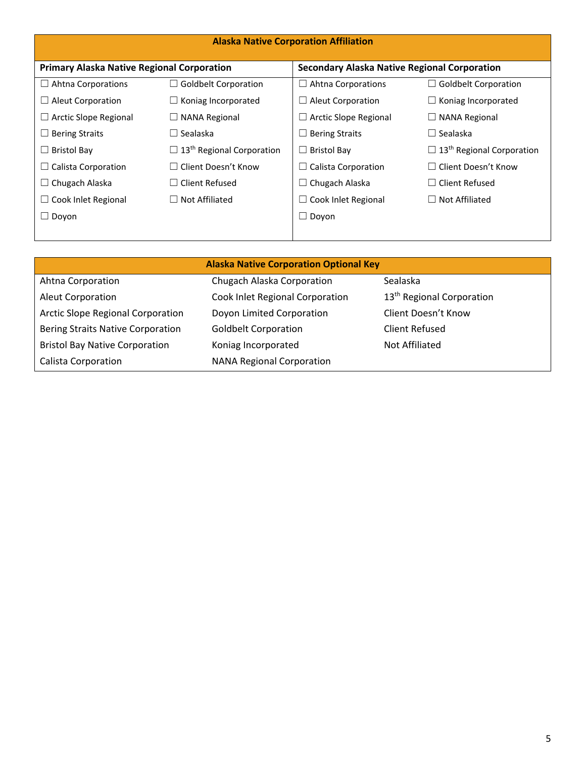| <b>Alaska Native Corporation Affiliation</b>      |                                              |                                                     |                                              |
|---------------------------------------------------|----------------------------------------------|-----------------------------------------------------|----------------------------------------------|
| <b>Primary Alaska Native Regional Corporation</b> |                                              | <b>Secondary Alaska Native Regional Corporation</b> |                                              |
| $\Box$ Ahtna Corporations                         | <b>Goldbelt Corporation</b>                  | <b>Ahtna Corporations</b><br>$\Box$                 | $\Box$ Goldbelt Corporation                  |
| $\Box$ Aleut Corporation                          | $\Box$ Koniag Incorporated                   | Aleut Corporation<br>⊔                              | $\Box$ Koniag Incorporated                   |
| $\Box$ Arctic Slope Regional                      | $\Box$ NANA Regional                         | Arctic Slope Regional<br>⊔                          | $\Box$ NANA Regional                         |
| $\Box$ Bering Straits                             | $\Box$ Sealaska                              | <b>Bering Straits</b><br>$\Box$                     | $\Box$ Sealaska                              |
| $\Box$ Bristol Bay                                | $\Box$ 13 <sup>th</sup> Regional Corporation | <b>Bristol Bay</b><br>$\Box$                        | $\Box$ 13 <sup>th</sup> Regional Corporation |
| $\Box$ Calista Corporation                        | $\Box$ Client Doesn't Know                   | Calista Corporation<br>$\Box$                       | $\Box$ Client Doesn't Know                   |
| $\Box$ Chugach Alaska                             | $\Box$ Client Refused                        | Chugach Alaska<br>$\Box$                            | $\Box$ Client Refused                        |
| $\Box$ Cook Inlet Regional                        | $\Box$ Not Affiliated                        | Cook Inlet Regional<br>$\Box$                       | $\Box$ Not Affiliated                        |
| $\Box$ Doyon                                      |                                              | Dovon<br>$\Box$                                     |                                              |
|                                                   |                                              |                                                     |                                              |

| <b>Alaska Native Corporation Optional Key</b> |                                  |                                       |  |
|-----------------------------------------------|----------------------------------|---------------------------------------|--|
| Ahtna Corporation                             | Chugach Alaska Corporation       | Sealaska                              |  |
| <b>Aleut Corporation</b>                      | Cook Inlet Regional Corporation  | 13 <sup>th</sup> Regional Corporation |  |
| <b>Arctic Slope Regional Corporation</b>      | Doyon Limited Corporation        | Client Doesn't Know                   |  |
| <b>Bering Straits Native Corporation</b>      | <b>Goldbelt Corporation</b>      | Client Refused                        |  |
| <b>Bristol Bay Native Corporation</b>         | Koniag Incorporated              | Not Affiliated                        |  |
| <b>Calista Corporation</b>                    | <b>NANA Regional Corporation</b> |                                       |  |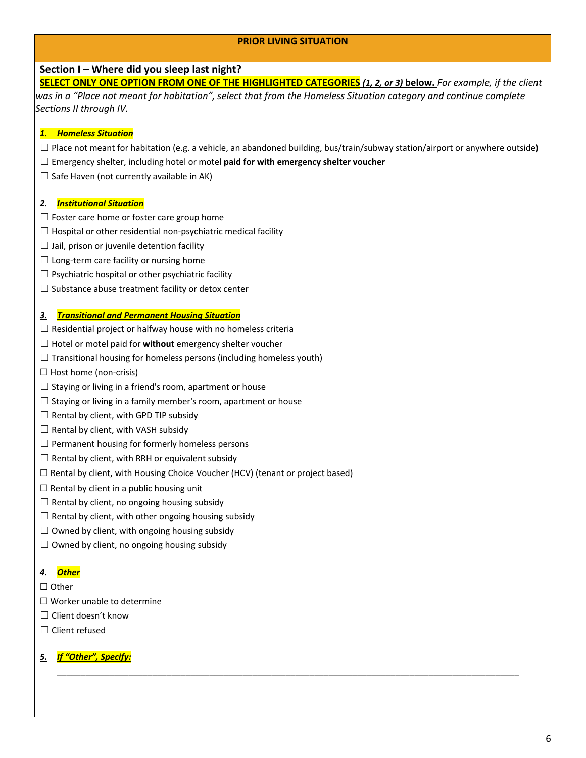#### **PRIOR LIVING SITUATION**

#### **Section I – Where did you sleep last night?**

**SELECT ONLY ONE OPTION FROM ONE OF THE HIGHLIGHTED CATEGORIES** *(1, 2, or 3)* **below.** *For example, if the client was in a "Place not meant for habitation", select that from the Homeless Situation category and continue complete Sections II through IV.*

#### *1. Homeless Situation*

 $\Box$  Place not meant for habitation (e.g. a vehicle, an abandoned building, bus/train/subway station/airport or anywhere outside)

\_\_\_\_\_\_\_\_\_\_\_\_\_\_\_\_\_\_\_\_\_\_\_\_\_\_\_\_\_\_\_\_\_\_\_\_\_\_\_\_\_\_\_\_\_\_\_\_\_\_\_\_\_\_\_\_\_\_\_\_\_\_\_\_\_\_\_\_\_\_\_\_\_\_\_\_\_\_\_\_\_\_\_\_\_\_\_\_\_\_\_\_\_\_\_\_\_

- ☐ Emergency shelter, including hotel or motel **paid for with emergency shelter voucher**
- $\Box$  Safe Haven (not currently available in AK)

#### *2. Institutional Situation*

- $\Box$  Foster care home or foster care group home
- $\Box$  Hospital or other residential non-psychiatric medical facility
- $\Box$  Jail, prison or juvenile detention facility
- $\Box$  Long-term care facility or nursing home
- $\Box$  Psychiatric hospital or other psychiatric facility
- □ Substance abuse treatment facility or detox center

#### *3. Transitional and Permanent Housing Situation*

- $\Box$  Residential project or halfway house with no homeless criteria
- ☐ Hotel or motel paid for **without** emergency shelter voucher
- $\Box$  Transitional housing for homeless persons (including homeless youth)
- □ Host home (non-crisis)
- $\Box$  Staying or living in a friend's room, apartment or house
- $\Box$  Staying or living in a family member's room, apartment or house
- $\Box$  Rental by client, with GPD TIP subsidy
- $\Box$  Rental by client, with VASH subsidy
- $\Box$  Permanent housing for formerly homeless persons
- $\Box$  Rental by client, with RRH or equivalent subsidy
- ☐ Rental by client, with Housing Choice Voucher (HCV) (tenant or project based)
- $\Box$  Rental by client in a public housing unit
- $\Box$  Rental by client, no ongoing housing subsidy
- $\Box$  Rental by client, with other ongoing housing subsidy
- $\Box$  Owned by client, with ongoing housing subsidy
- $\Box$  Owned by client, no ongoing housing subsidy

#### *4. Other*

- ☐ Other
- ☐ Worker unable to determine
- ☐ Client doesn't know
- ☐ Client refused

#### *5. If "Other", Specify:*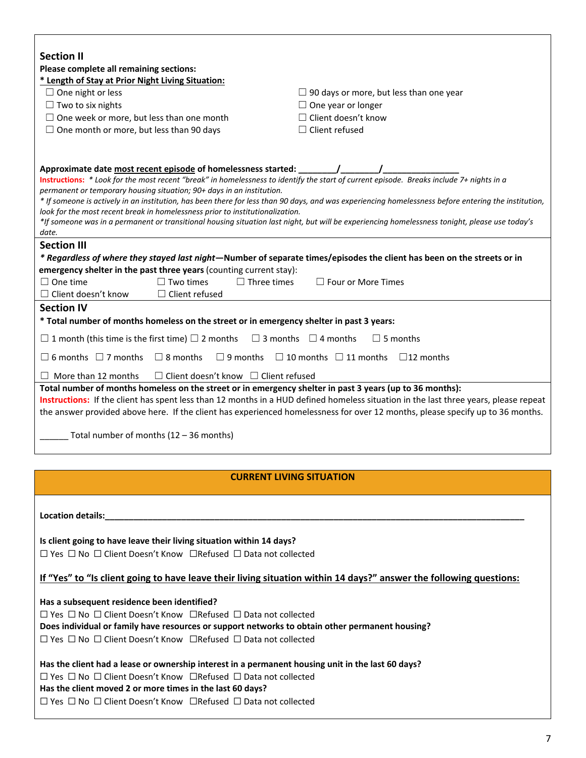| <b>Section II</b><br>Please complete all remaining sections:                                                                                                                                                                                                                                                                                                                                                                                                                                                                                                                                                                                                                           |                                                                    |  |
|----------------------------------------------------------------------------------------------------------------------------------------------------------------------------------------------------------------------------------------------------------------------------------------------------------------------------------------------------------------------------------------------------------------------------------------------------------------------------------------------------------------------------------------------------------------------------------------------------------------------------------------------------------------------------------------|--------------------------------------------------------------------|--|
| * Length of Stay at Prior Night Living Situation:                                                                                                                                                                                                                                                                                                                                                                                                                                                                                                                                                                                                                                      |                                                                    |  |
| $\Box$ One night or less                                                                                                                                                                                                                                                                                                                                                                                                                                                                                                                                                                                                                                                               | $\Box$ 90 days or more, but less than one year                     |  |
| $\Box$ Two to six nights                                                                                                                                                                                                                                                                                                                                                                                                                                                                                                                                                                                                                                                               | $\Box$ One year or longer<br>$\Box$ Client doesn't know            |  |
| $\Box$ One week or more, but less than one month<br>$\Box$ One month or more, but less than 90 days                                                                                                                                                                                                                                                                                                                                                                                                                                                                                                                                                                                    | $\Box$ Client refused                                              |  |
|                                                                                                                                                                                                                                                                                                                                                                                                                                                                                                                                                                                                                                                                                        |                                                                    |  |
| Approximate date most recent episode of homelessness started:<br>Instructions: * Look for the most recent "break" in homelessness to identify the start of current episode. Breaks include 7+ nights in a<br>permanent or temporary housing situation; 90+ days in an institution.<br>* If someone is actively in an institution, has been there for less than 90 days, and was experiencing homelessness before entering the institution,<br>look for the most recent break in homelessness prior to institutionalization.<br>*If someone was in a permanent or transitional housing situation last night, but will be experiencing homelessness tonight, please use today's<br>date. |                                                                    |  |
| <b>Section III</b>                                                                                                                                                                                                                                                                                                                                                                                                                                                                                                                                                                                                                                                                     |                                                                    |  |
| * Regardless of where they stayed last night—Number of separate times/episodes the client has been on the streets or in                                                                                                                                                                                                                                                                                                                                                                                                                                                                                                                                                                |                                                                    |  |
| emergency shelter in the past three years (counting current stay):<br>$\Box$ Two times<br>$\Box$ One time<br>$\Box$ Three times                                                                                                                                                                                                                                                                                                                                                                                                                                                                                                                                                        | $\Box$ Four or More Times                                          |  |
| $\Box$ Client doesn't know<br>$\Box$ Client refused                                                                                                                                                                                                                                                                                                                                                                                                                                                                                                                                                                                                                                    |                                                                    |  |
| <b>Section IV</b>                                                                                                                                                                                                                                                                                                                                                                                                                                                                                                                                                                                                                                                                      |                                                                    |  |
| * Total number of months homeless on the street or in emergency shelter in past 3 years:                                                                                                                                                                                                                                                                                                                                                                                                                                                                                                                                                                                               |                                                                    |  |
| $\Box$ 1 month (this time is the first time) $\Box$ 2 months                                                                                                                                                                                                                                                                                                                                                                                                                                                                                                                                                                                                                           | $\Box$ 3 months $\Box$ 4 months<br>$\Box$ 5 months                 |  |
| $\Box$ 6 months $\Box$ 7 months $\Box$ 8 months                                                                                                                                                                                                                                                                                                                                                                                                                                                                                                                                                                                                                                        | $\Box$ 9 months $\Box$ 10 months $\Box$ 11 months $\Box$ 12 months |  |
| $\Box$ Client doesn't know $\Box$ Client refused<br>$\Box$ More than 12 months                                                                                                                                                                                                                                                                                                                                                                                                                                                                                                                                                                                                         |                                                                    |  |
| Total number of months homeless on the street or in emergency shelter in past 3 years (up to 36 months):<br>Instructions: If the client has spent less than 12 months in a HUD defined homeless situation in the last three years, please repeat<br>the answer provided above here. If the client has experienced homelessness for over 12 months, please specify up to 36 months.<br>Total number of months $(12 - 36$ months)                                                                                                                                                                                                                                                        |                                                                    |  |
|                                                                                                                                                                                                                                                                                                                                                                                                                                                                                                                                                                                                                                                                                        |                                                                    |  |
| <b>CURRENT LIVING SITUATION</b>                                                                                                                                                                                                                                                                                                                                                                                                                                                                                                                                                                                                                                                        |                                                                    |  |
| Location details: Notified and the set of the set of the set of the set of the set of the set of the set of the set of the set of the set of the set of the set of the set of the set of the set of the set of the set of the                                                                                                                                                                                                                                                                                                                                                                                                                                                          |                                                                    |  |
| Is client going to have leave their living situation within 14 days?                                                                                                                                                                                                                                                                                                                                                                                                                                                                                                                                                                                                                   |                                                                    |  |
| $\Box$ Yes $\Box$ No $\Box$ Client Doesn't Know $\Box$ Refused $\Box$ Data not collected                                                                                                                                                                                                                                                                                                                                                                                                                                                                                                                                                                                               |                                                                    |  |
| If "Yes" to "Is client going to have leave their living situation within 14 days?" answer the following questions:                                                                                                                                                                                                                                                                                                                                                                                                                                                                                                                                                                     |                                                                    |  |
| Has a subsequent residence been identified?                                                                                                                                                                                                                                                                                                                                                                                                                                                                                                                                                                                                                                            |                                                                    |  |
| $\Box$ Yes $\Box$ No $\Box$ Client Doesn't Know $\Box$ Refused $\Box$ Data not collected                                                                                                                                                                                                                                                                                                                                                                                                                                                                                                                                                                                               |                                                                    |  |
| Does individual or family have resources or support networks to obtain other permanent housing?                                                                                                                                                                                                                                                                                                                                                                                                                                                                                                                                                                                        |                                                                    |  |
| $\Box$ Yes $\Box$ No $\Box$ Client Doesn't Know $\Box$ Refused $\Box$ Data not collected                                                                                                                                                                                                                                                                                                                                                                                                                                                                                                                                                                                               |                                                                    |  |
| Has the client had a lease or ownership interest in a permanent housing unit in the last 60 days?                                                                                                                                                                                                                                                                                                                                                                                                                                                                                                                                                                                      |                                                                    |  |
| $\Box$ Yes $\Box$ No $\Box$ Client Doesn't Know $\Box$ Refused $\Box$ Data not collected                                                                                                                                                                                                                                                                                                                                                                                                                                                                                                                                                                                               |                                                                    |  |
| Has the client moved 2 or more times in the last 60 days?                                                                                                                                                                                                                                                                                                                                                                                                                                                                                                                                                                                                                              |                                                                    |  |
| $\Box$ Yes $\Box$ No $\Box$ Client Doesn't Know $\Box$ Refused $\Box$ Data not collected                                                                                                                                                                                                                                                                                                                                                                                                                                                                                                                                                                                               |                                                                    |  |
|                                                                                                                                                                                                                                                                                                                                                                                                                                                                                                                                                                                                                                                                                        |                                                                    |  |